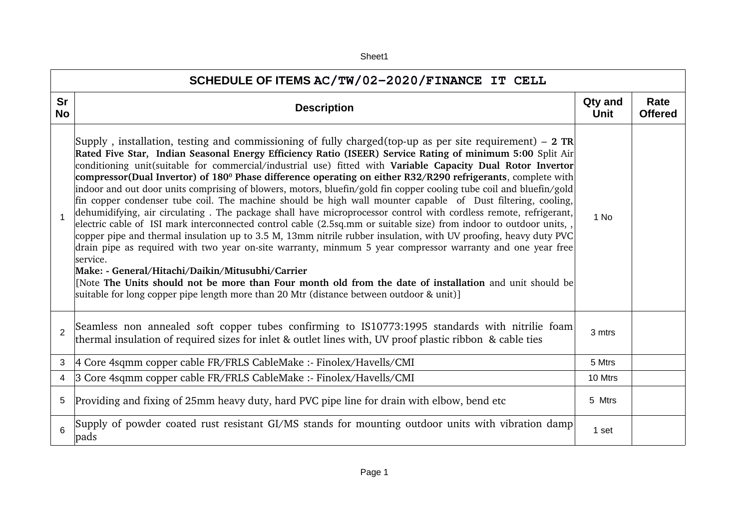| SCHEDULE OF ITEMS AC/TW/02-2020/FINANCE IT CELL |                                                                                                                                                                                                                                                                                                                                                                                                                                                                                                                                                                                                                                                                                                                                                                                                                                                                                                                                                                                                                                                                                                                                                                                                                                                                                                                                                                                                                                                             |                        |                        |  |  |
|-------------------------------------------------|-------------------------------------------------------------------------------------------------------------------------------------------------------------------------------------------------------------------------------------------------------------------------------------------------------------------------------------------------------------------------------------------------------------------------------------------------------------------------------------------------------------------------------------------------------------------------------------------------------------------------------------------------------------------------------------------------------------------------------------------------------------------------------------------------------------------------------------------------------------------------------------------------------------------------------------------------------------------------------------------------------------------------------------------------------------------------------------------------------------------------------------------------------------------------------------------------------------------------------------------------------------------------------------------------------------------------------------------------------------------------------------------------------------------------------------------------------------|------------------------|------------------------|--|--|
| Sr<br><b>No</b>                                 | <b>Description</b>                                                                                                                                                                                                                                                                                                                                                                                                                                                                                                                                                                                                                                                                                                                                                                                                                                                                                                                                                                                                                                                                                                                                                                                                                                                                                                                                                                                                                                          | Qty and<br><b>Unit</b> | Rate<br><b>Offered</b> |  |  |
| $\mathbf{1}$                                    | Supply, installation, testing and commissioning of fully charged (top-up as per site requirement) – 2 TR<br>Rated Five Star, Indian Seasonal Energy Efficiency Ratio (ISEER) Service Rating of minimum 5:00 Split Air<br>conditioning unit(suitable for commercial/industrial use) fitted with Variable Capacity Dual Rotor Invertor<br>compressor(Dual Invertor) of 180 <sup>°</sup> Phase difference operating on either R32/R290 refrigerants, complete with<br>indoor and out door units comprising of blowers, motors, bluefin/gold fin copper cooling tube coil and bluefin/gold<br>fin copper condenser tube coil. The machine should be high wall mounter capable of Dust filtering, cooling,<br>dehumidifying, air circulating. The package shall have microprocessor control with cordless remote, refrigerant,<br>electric cable of ISI mark interconnected control cable (2.5sq.mm or suitable size) from indoor to outdoor units,,<br>copper pipe and thermal insulation up to 3.5 M, 13mm nitrile rubber insulation, with UV proofing, heavy duty PVC<br>drain pipe as required with two year on-site warranty, minmum 5 year compressor warranty and one year free<br>service.<br>Make: - General/Hitachi/Daikin/Mitusubhi/Carrier<br>[Note The Units should not be more than Four month old from the date of installation and unit should be<br>suitable for long copper pipe length more than 20 Mtr (distance between outdoor $\&$ unit)] | 1 No                   |                        |  |  |
| $\overline{2}$                                  | Seamless non annealed soft copper tubes confirming to IS10773:1995 standards with nitrilie foam<br>thermal insulation of required sizes for inlet & outlet lines with, UV proof plastic ribbon & cable ties                                                                                                                                                                                                                                                                                                                                                                                                                                                                                                                                                                                                                                                                                                                                                                                                                                                                                                                                                                                                                                                                                                                                                                                                                                                 | 3 mtrs                 |                        |  |  |
| 3                                               | 4 Core 4sqmm copper cable FR/FRLS CableMake :- Finolex/Havells/CMI                                                                                                                                                                                                                                                                                                                                                                                                                                                                                                                                                                                                                                                                                                                                                                                                                                                                                                                                                                                                                                                                                                                                                                                                                                                                                                                                                                                          | 5 Mtrs                 |                        |  |  |
| 4                                               | 3 Core 4sqmm copper cable FR/FRLS CableMake :- Finolex/Havells/CMI                                                                                                                                                                                                                                                                                                                                                                                                                                                                                                                                                                                                                                                                                                                                                                                                                                                                                                                                                                                                                                                                                                                                                                                                                                                                                                                                                                                          | 10 Mtrs                |                        |  |  |
| 5                                               | Providing and fixing of 25mm heavy duty, hard PVC pipe line for drain with elbow, bend etc                                                                                                                                                                                                                                                                                                                                                                                                                                                                                                                                                                                                                                                                                                                                                                                                                                                                                                                                                                                                                                                                                                                                                                                                                                                                                                                                                                  | 5 Mtrs                 |                        |  |  |
| 6                                               | Supply of powder coated rust resistant GI/MS stands for mounting outdoor units with vibration damp<br>pads                                                                                                                                                                                                                                                                                                                                                                                                                                                                                                                                                                                                                                                                                                                                                                                                                                                                                                                                                                                                                                                                                                                                                                                                                                                                                                                                                  | 1 set                  |                        |  |  |

Sheet1